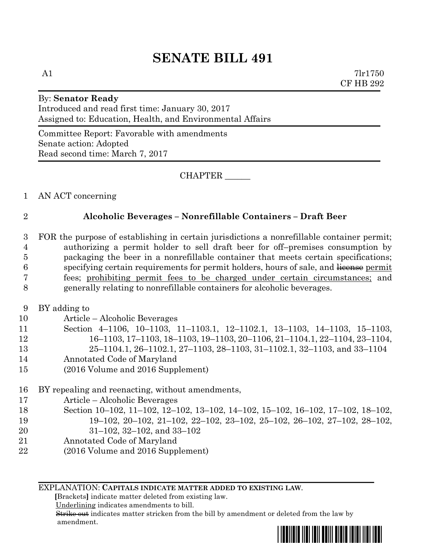A1  $7\text{lr}1750$ CF HB 292

# By: **Senator Ready**

Introduced and read first time: January 30, 2017 Assigned to: Education, Health, and Environmental Affairs

Committee Report: Favorable with amendments Senate action: Adopted Read second time: March 7, 2017

CHAPTER \_\_\_\_\_\_

1 AN ACT concerning

#### 2 **Alcoholic Beverages – Nonrefillable Containers – Draft Beer**

 FOR the purpose of establishing in certain jurisdictions a nonrefillable container permit; authorizing a permit holder to sell draft beer for off–premises consumption by packaging the beer in a nonrefillable container that meets certain specifications; 6 specifying certain requirements for permit holders, hours of sale, and license permit fees; prohibiting permit fees to be charged under certain circumstances; and generally relating to nonrefillable containers for alcoholic beverages.

- 9 BY adding to
- 10 Article Alcoholic Beverages
- 

11 Section 4–1106, 10–1103, 11–1103.1, 12–1102.1, 13–1103, 14–1103, 15–1103, 12 16–1103, 17–1103, 18–1103, 19–1103, 20–1106, 21–1104.1, 22–1104, 23–1104,

- 13 25–1104.1, 26–1102.1, 27–1103, 28–1103, 31–1102.1, 32–1103, and 33–1104
- 14 Annotated Code of Maryland
- 15 (2016 Volume and 2016 Supplement)
- 16 BY repealing and reenacting, without amendments,
- 17 Article Alcoholic Beverages
- 18 Section 10–102, 11–102, 12–102, 13–102, 14–102, 15–102, 16–102, 17–102, 18–102,
- 19 19–102, 20–102, 21–102, 22–102, 23–102, 25–102, 26–102, 27–102, 28–102,
- 20 31–102, 32–102, and 33–102
- 21 Annotated Code of Maryland
- 22 (2016 Volume and 2016 Supplement)

EXPLANATION: **CAPITALS INDICATE MATTER ADDED TO EXISTING LAW**.

 **[**Brackets**]** indicate matter deleted from existing law.

Underlining indicates amendments to bill.

 Strike out indicates matter stricken from the bill by amendment or deleted from the law by amendment.

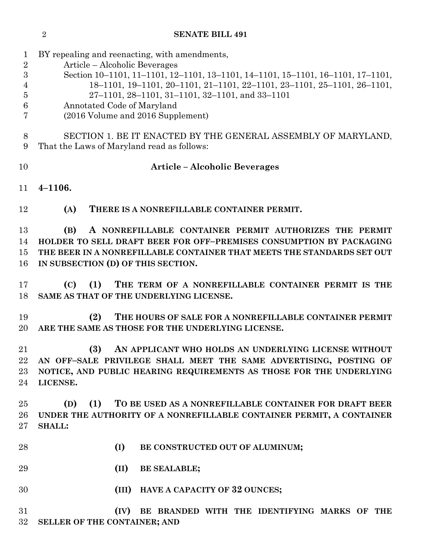| <b>SENATE BILL 491</b> |
|------------------------|
|                        |

| 1              | BY repealing and reenacting, with amendments,                                   |
|----------------|---------------------------------------------------------------------------------|
| $\sqrt{2}$     | Article – Alcoholic Beverages                                                   |
| 3              | Section 10-1101, 11-1101, 12-1101, 13-1101, 14-1101, 15-1101, 16-1101, 17-1101, |
| 4              | 18-1101, 19-1101, 20-1101, 21-1101, 22-1101, 23-1101, 25-1101, 26-1101,         |
| $\overline{5}$ | 27-1101, 28-1101, 31-1101, 32-1101, and 33-1101                                 |
| 6              | Annotated Code of Maryland                                                      |
| 7              | (2016 Volume and 2016 Supplement)                                               |
| 8              | SECTION 1. BE IT ENACTED BY THE GENERAL ASSEMBLY OF MARYLAND,                   |
| 9              | That the Laws of Maryland read as follows:                                      |
| 10             | <b>Article – Alcoholic Beverages</b>                                            |
| 11             | $4 - 1106.$                                                                     |
| 12             | (A)<br>THERE IS A NONREFILLABLE CONTAINER PERMIT.                               |
|                |                                                                                 |
| 13             | A NONREFILLABLE CONTAINER PERMIT AUTHORIZES THE PERMIT<br>(B)                   |
| 14             | HOLDER TO SELL DRAFT BEER FOR OFF-PREMISES CONSUMPTION BY PACKAGING             |
| 15             | THE BEER IN A NONREFILLABLE CONTAINER THAT MEETS THE STANDARDS SET OUT          |
| 16             | IN SUBSECTION (D) OF THIS SECTION.                                              |
| 17             | (C)<br>THE TERM OF A NONREFILLABLE CONTAINER PERMIT IS THE<br>(1)               |
| 18             | SAME AS THAT OF THE UNDERLYING LICENSE.                                         |
| 19             | (2)<br>THE HOURS OF SALE FOR A NONREFILLABLE CONTAINER PERMIT                   |
| 20             | ARE THE SAME AS THOSE FOR THE UNDERLYING LICENSE.                               |
| 21             | (3)<br>AN APPLICANT WHO HOLDS AN UNDERLYING LICENSE WITHOUT                     |
| 22             | AN OFF-SALE PRIVILEGE SHALL MEET THE SAME ADVERTISING, POSTING OF               |
| 23             | NOTICE, AND PUBLIC HEARING REQUIREMENTS AS THOSE FOR THE UNDERLYING             |
| 24             | LICENSE.                                                                        |
| 25             | (1)<br>TO BE USED AS A NONREFILLABLE CONTAINER FOR DRAFT BEER<br>(D)            |
| 26             | UNDER THE AUTHORITY OF A NONREFILLABLE CONTAINER PERMIT, A CONTAINER            |
| 27             | <b>SHALL:</b>                                                                   |
|                |                                                                                 |
| 28             | (I)<br>BE CONSTRUCTED OUT OF ALUMINUM;                                          |
| 29             | (II)<br><b>BE SEALABLE;</b>                                                     |
| 30             | (III) HAVE A CAPACITY OF 32 OUNCES;                                             |
| 31             | (IV)<br>BE BRANDED WITH THE IDENTIFYING MARKS OF THE                            |
| 32             | SELLER OF THE CONTAINER; AND                                                    |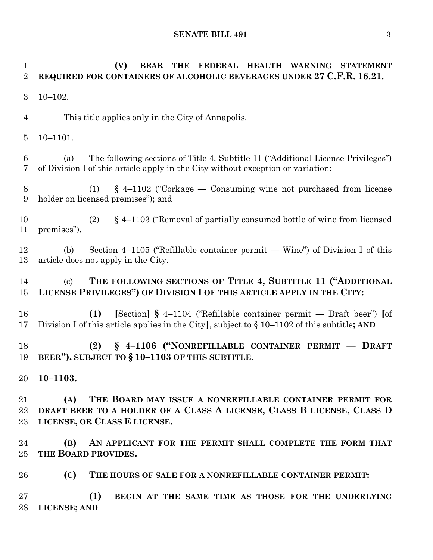# **(V) BEAR THE FEDERAL HEALTH WARNING STATEMENT REQUIRED FOR CONTAINERS OF ALCOHOLIC BEVERAGES UNDER 27 C.F.R. 16.21.** 10–102. This title applies only in the City of Annapolis. 10–1101. (a) The following sections of Title 4, Subtitle 11 ("Additional License Privileges") of Division I of this article apply in the City without exception or variation: (1) § 4–1102 ("Corkage — Consuming wine not purchased from license holder on licensed premises"); and (2) § 4–1103 ("Removal of partially consumed bottle of wine from licensed premises"). (b) Section 4–1105 ("Refillable container permit — Wine") of Division I of this article does not apply in the City. (c) **THE FOLLOWING SECTIONS OF TITLE 4, SUBTITLE 11 ("ADDITIONAL LICENSE PRIVILEGES") OF DIVISION I OF THIS ARTICLE APPLY IN THE CITY: (1) [**Section**] §** 4–1104 ("Refillable container permit — Draft beer") **[**of Division I of this article applies in the City**]**, subject to § 10–1102 of this subtitle**; AND (2) § 4–1106 ("NONREFILLABLE CONTAINER PERMIT –– DRAFT BEER"), SUBJECT TO § 10–1103 OF THIS SUBTITLE**. **10–1103. (A) THE BOARD MAY ISSUE A NONREFILLABLE CONTAINER PERMIT FOR DRAFT BEER TO A HOLDER OF A CLASS A LICENSE, CLASS B LICENSE, CLASS D LICENSE, OR CLASS E LICENSE. (B) AN APPLICANT FOR THE PERMIT SHALL COMPLETE THE FORM THAT THE BOARD PROVIDES. (C) THE HOURS OF SALE FOR A NONREFILLABLE CONTAINER PERMIT: (1) BEGIN AT THE SAME TIME AS THOSE FOR THE UNDERLYING LICENSE; AND**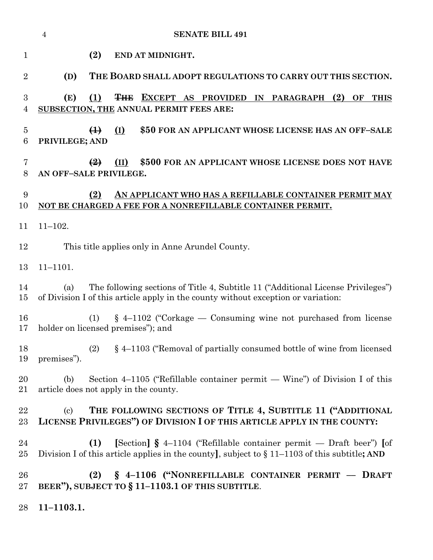|                     | $\overline{4}$<br><b>SENATE BILL 491</b>                                                                                                                                          |
|---------------------|-----------------------------------------------------------------------------------------------------------------------------------------------------------------------------------|
| $\mathbf{1}$        | (2)<br>END AT MIDNIGHT.                                                                                                                                                           |
| $\overline{2}$      | (D)<br>THE BOARD SHALL ADOPT REGULATIONS TO CARRY OUT THIS SECTION.                                                                                                               |
| 3<br>4              | (E)<br>(1)<br><b>THE EXCEPT AS PROVIDED IN PARAGRAPH</b><br>$(2)$ OF<br><b>THIS</b><br>SUBSECTION, THE ANNUAL PERMIT FEES ARE:                                                    |
| $\overline{5}$<br>6 | (I)<br>\$50 FOR AN APPLICANT WHOSE LICENSE HAS AN OFF-SALE<br>$\bigoplus$<br>PRIVILEGE; AND                                                                                       |
| 7<br>8              | \$500 FOR AN APPLICANT WHOSE LICENSE DOES NOT HAVE<br>$\left( \frac{9}{2} \right)$<br>(II)<br>AN OFF-SALE PRIVILEGE.                                                              |
| 9<br>10             | (2)<br>AN APPLICANT WHO HAS A REFILLABLE CONTAINER PERMIT MAY<br>NOT BE CHARGED A FEE FOR A NONREFILLABLE CONTAINER PERMIT.                                                       |
| 11                  | $11 - 102.$                                                                                                                                                                       |
| 12                  | This title applies only in Anne Arundel County.                                                                                                                                   |
| 13                  | $11 - 1101.$                                                                                                                                                                      |
| 14<br>15            | The following sections of Title 4, Subtitle 11 ("Additional License Privileges")<br>(a)<br>of Division I of this article apply in the county without exception or variation:      |
| 16<br>17            | $\S$ 4–1102 ("Corkage — Consuming wine not purchased from license<br>(1)<br>holder on licensed premises"); and                                                                    |
| 18<br>19            | (2) § 4-1103 ("Removal of partially consumed bottle of wine from licensed<br>premises").                                                                                          |
| 20<br>21            | Section 4–1105 ("Refillable container permit — Wine") of Division I of this<br>(b)<br>article does not apply in the county.                                                       |
| 22<br>$23\,$        | THE FOLLOWING SECTIONS OF TITLE 4, SUBTITLE 11 ("ADDITIONAL<br>$\left( \mathrm{c}\right)$<br>LICENSE PRIVILEGES") OF DIVISION I OF THIS ARTICLE APPLY IN THE COUNTY:              |
| 24<br>25            | [Section] $\S$ 4–1104 ("Refillable container permit — Draft beer") [of<br>(1)<br>Division I of this article applies in the county], subject to $\S 11-1103$ of this subtitle; AND |
| 26<br>$27\,$        | (2) § 4-1106 ("NONREFILLABLE CONTAINER PERMIT - DRAFT<br>BEER"), SUBJECT TO § 11-1103.1 OF THIS SUBTITLE.                                                                         |
| 28                  | $11 - 1103.1.$                                                                                                                                                                    |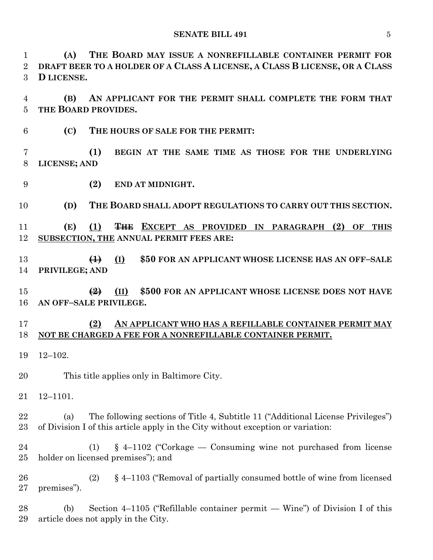**(A) THE BOARD MAY ISSUE A NONREFILLABLE CONTAINER PERMIT FOR DRAFT BEER TO A HOLDER OF A CLASS A LICENSE, A CLASS B LICENSE, OR A CLASS D LICENSE.**

 **(B) AN APPLICANT FOR THE PERMIT SHALL COMPLETE THE FORM THAT THE BOARD PROVIDES.**

**(C) THE HOURS OF SALE FOR THE PERMIT:**

 **(1) BEGIN AT THE SAME TIME AS THOSE FOR THE UNDERLYING LICENSE; AND**

**(2) END AT MIDNIGHT.**

**(D) THE BOARD SHALL ADOPT REGULATIONS TO CARRY OUT THIS SECTION.**

 **(E) (1) THE EXCEPT AS PROVIDED IN PARAGRAPH (2) OF THIS SUBSECTION, THE ANNUAL PERMIT FEES ARE:**

 **(1) (I) \$50 FOR AN APPLICANT WHOSE LICENSE HAS AN OFF–SALE PRIVILEGE; AND**

 **(2) (II) \$500 FOR AN APPLICANT WHOSE LICENSE DOES NOT HAVE AN OFF–SALE PRIVILEGE.**

#### **(2) AN APPLICANT WHO HAS A REFILLABLE CONTAINER PERMIT MAY NOT BE CHARGED A FEE FOR A NONREFILLABLE CONTAINER PERMIT.**

12–102.

This title applies only in Baltimore City.

12–1101.

 (a) The following sections of Title 4, Subtitle 11 ("Additional License Privileges") of Division I of this article apply in the City without exception or variation:

 (1) § 4–1102 ("Corkage — Consuming wine not purchased from license holder on licensed premises"); and

 (2) § 4–1103 ("Removal of partially consumed bottle of wine from licensed premises").

 (b) Section 4–1105 ("Refillable container permit — Wine") of Division I of this article does not apply in the City.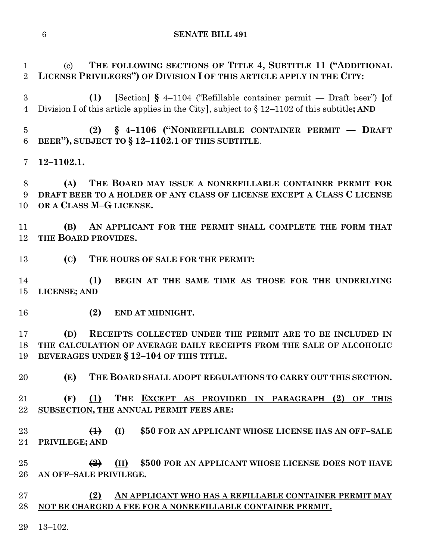(c) **THE FOLLOWING SECTIONS OF TITLE 4, SUBTITLE 11 ("ADDITIONAL LICENSE PRIVILEGES") OF DIVISION I OF THIS ARTICLE APPLY IN THE CITY:**

 **(1) [**Section**] §** 4–1104 ("Refillable container permit — Draft beer") **[**of Division I of this article applies in the City**]**, subject to § 12–1102 of this subtitle**; AND**

 **(2) § 4–1106 ("NONREFILLABLE CONTAINER PERMIT — DRAFT BEER"), SUBJECT TO § 12–1102.1 OF THIS SUBTITLE**.

**12–1102.1.**

 **(A) THE BOARD MAY ISSUE A NONREFILLABLE CONTAINER PERMIT FOR DRAFT BEER TO A HOLDER OF ANY CLASS OF LICENSE EXCEPT A CLASS C LICENSE OR A CLASS M–G LICENSE.**

 **(B) AN APPLICANT FOR THE PERMIT SHALL COMPLETE THE FORM THAT THE BOARD PROVIDES.**

**(C) THE HOURS OF SALE FOR THE PERMIT:**

 **(1) BEGIN AT THE SAME TIME AS THOSE FOR THE UNDERLYING LICENSE; AND**

**(2) END AT MIDNIGHT.**

 **(D) RECEIPTS COLLECTED UNDER THE PERMIT ARE TO BE INCLUDED IN THE CALCULATION OF AVERAGE DAILY RECEIPTS FROM THE SALE OF ALCOHOLIC BEVERAGES UNDER § 12–104 OF THIS TITLE.**

**(E) THE BOARD SHALL ADOPT REGULATIONS TO CARRY OUT THIS SECTION.**

 **(F) (1) THE EXCEPT AS PROVIDED IN PARAGRAPH (2) OF THIS SUBSECTION, THE ANNUAL PERMIT FEES ARE:**

 **(1) (I) \$50 FOR AN APPLICANT WHOSE LICENSE HAS AN OFF–SALE PRIVILEGE; AND**

 **(2) (II) \$500 FOR AN APPLICANT WHOSE LICENSE DOES NOT HAVE AN OFF–SALE PRIVILEGE.**

 **(2) AN APPLICANT WHO HAS A REFILLABLE CONTAINER PERMIT MAY NOT BE CHARGED A FEE FOR A NONREFILLABLE CONTAINER PERMIT.**

13–102.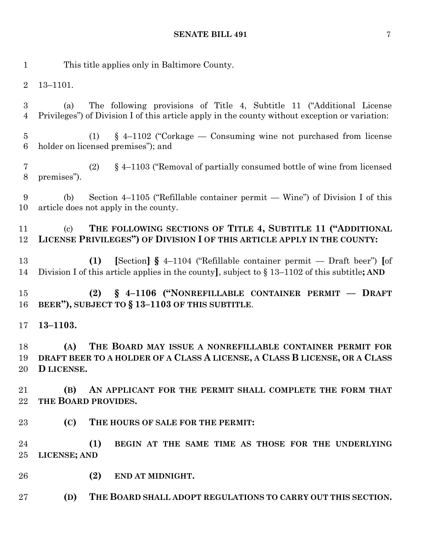This title applies only in Baltimore County. 13–1101. (a) The following provisions of Title 4, Subtitle 11 ("Additional License Privileges") of Division I of this article apply in the county without exception or variation: (1) § 4–1102 ("Corkage — Consuming wine not purchased from license holder on licensed premises"); and (2) § 4–1103 ("Removal of partially consumed bottle of wine from licensed premises"). (b) Section 4–1105 ("Refillable container permit — Wine") of Division I of this article does not apply in the county. (c) **THE FOLLOWING SECTIONS OF TITLE 4, SUBTITLE 11 ("ADDITIONAL LICENSE PRIVILEGES") OF DIVISION I OF THIS ARTICLE APPLY IN THE COUNTY: (1) [**Section**] §** 4–1104 ("Refillable container permit — Draft beer") **[**of Division I of this article applies in the county**]**, subject to § 13–1102 of this subtitle**; AND (2) § 4–1106 ("NONREFILLABLE CONTAINER PERMIT –– DRAFT BEER"), SUBJECT TO § 13–1103 OF THIS SUBTITLE**. **13–1103. (A) THE BOARD MAY ISSUE A NONREFILLABLE CONTAINER PERMIT FOR DRAFT BEER TO A HOLDER OF A CLASS A LICENSE, A CLASS B LICENSE, OR A CLASS D LICENSE. (B) AN APPLICANT FOR THE PERMIT SHALL COMPLETE THE FORM THAT THE BOARD PROVIDES. (C) THE HOURS OF SALE FOR THE PERMIT: (1) BEGIN AT THE SAME TIME AS THOSE FOR THE UNDERLYING LICENSE; AND (2) END AT MIDNIGHT. (D) THE BOARD SHALL ADOPT REGULATIONS TO CARRY OUT THIS SECTION.**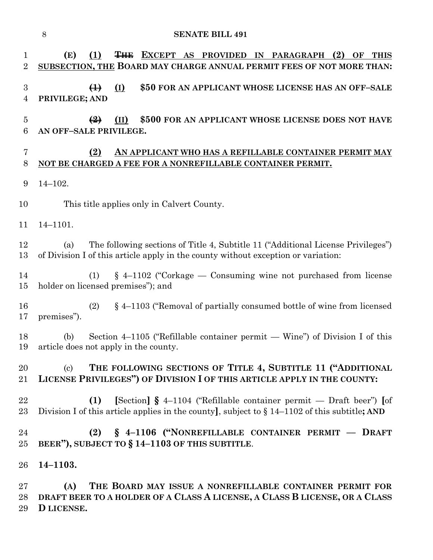|                               | $8\,$<br><b>SENATE BILL 491</b>                                                                                                                                                   |
|-------------------------------|-----------------------------------------------------------------------------------------------------------------------------------------------------------------------------------|
| $\mathbf 1$<br>$\overline{2}$ | (E)<br>THE EXCEPT AS PROVIDED IN PARAGRAPH<br>(1)<br>(2)<br>OF<br><b>THIS</b><br>SUBSECTION, THE BOARD MAY CHARGE ANNUAL PERMIT FEES OF NOT MORE THAN:                            |
| $\boldsymbol{3}$<br>4         | $(\underline{I})$<br>\$50 FOR AN APPLICANT WHOSE LICENSE HAS AN OFF-SALE<br>$\bigoplus$<br>PRIVILEGE; AND                                                                         |
| $\overline{5}$<br>6           | \$500 FOR AN APPLICANT WHOSE LICENSE DOES NOT HAVE<br>$\left( \frac{9}{2} \right)$<br>(II)<br>AN OFF-SALE PRIVILEGE.                                                              |
| 7<br>8                        | (2)<br>AN APPLICANT WHO HAS A REFILLABLE CONTAINER PERMIT MAY<br>NOT BE CHARGED A FEE FOR A NONREFILLABLE CONTAINER PERMIT.                                                       |
| 9                             | $14 - 102.$                                                                                                                                                                       |
| 10                            | This title applies only in Calvert County.                                                                                                                                        |
| 11                            | $14 - 1101.$                                                                                                                                                                      |
| 12<br>13                      | The following sections of Title 4, Subtitle 11 ("Additional License Privileges")<br>(a)<br>of Division I of this article apply in the county without exception or variation:      |
| 14<br>15                      | $\S$ 4–1102 ("Corkage — Consuming wine not purchased from license<br>(1)<br>holder on licensed premises"); and                                                                    |
| 16<br>17                      | $\S$ 4–1103 ("Removal of partially consumed bottle of wine from licensed<br>(2)<br>premises").                                                                                    |
| 18<br>19                      | Section 4–1105 ("Refillable container permit — Wine") of Division I of this<br>(b)<br>article does not apply in the county.                                                       |
| 20<br>$21\,$                  | THE FOLLOWING SECTIONS OF TITLE 4, SUBTITLE 11 ("ADDITIONAL<br>$\left( \mathrm{c}\right)$<br>LICENSE PRIVILEGES") OF DIVISION I OF THIS ARTICLE APPLY IN THE COUNTY:              |
| 22<br>$23\,$                  | [Section] $\S$ 4-1104 ("Refillable container permit — Draft beer") [of<br>(1)<br>Division I of this article applies in the county], subject to $\S 14-1102$ of this subtitle; AND |
| 24<br>25                      | $\S$ 4-1106 ("NONREFILLABLE CONTAINER PERMIT – DRAFT<br>(2)<br>BEER"), SUBJECT TO § 14-1103 OF THIS SUBTITLE.                                                                     |
| 26                            | $14 - 1103.$                                                                                                                                                                      |
| $27\,$<br>28<br>29            | THE BOARD MAY ISSUE A NONREFILLABLE CONTAINER PERMIT FOR<br>(A)<br>DRAFT BEER TO A HOLDER OF A CLASS A LICENSE, A CLASS B LICENSE, OR A CLASS<br>D LICENSE.                       |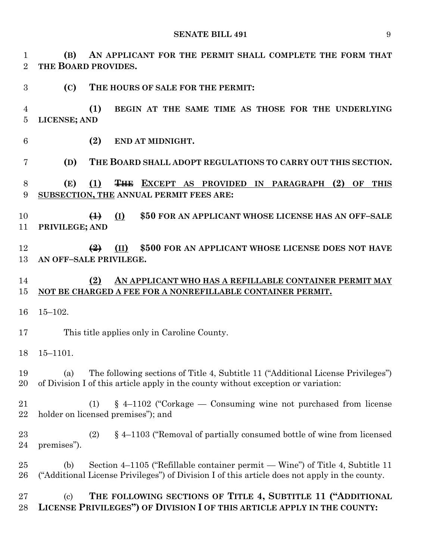**(B) AN APPLICANT FOR THE PERMIT SHALL COMPLETE THE FORM THAT THE BOARD PROVIDES.**

- **(C) THE HOURS OF SALE FOR THE PERMIT:**
- **(1) BEGIN AT THE SAME TIME AS THOSE FOR THE UNDERLYING LICENSE; AND**
- **(2) END AT MIDNIGHT.**
- **(D) THE BOARD SHALL ADOPT REGULATIONS TO CARRY OUT THIS SECTION.**
- **(E) (1) THE EXCEPT AS PROVIDED IN PARAGRAPH (2) OF THIS SUBSECTION, THE ANNUAL PERMIT FEES ARE:**
- **(1) (I) \$50 FOR AN APPLICANT WHOSE LICENSE HAS AN OFF–SALE PRIVILEGE; AND**
- **(2) (II) \$500 FOR AN APPLICANT WHOSE LICENSE DOES NOT HAVE AN OFF–SALE PRIVILEGE.**

#### **(2) AN APPLICANT WHO HAS A REFILLABLE CONTAINER PERMIT MAY NOT BE CHARGED A FEE FOR A NONREFILLABLE CONTAINER PERMIT.**

- 15–102.
- This title applies only in Caroline County.
- 15–1101.
- (a) The following sections of Title 4, Subtitle 11 ("Additional License Privileges") of Division I of this article apply in the county without exception or variation:
- (1) § 4–1102 ("Corkage Consuming wine not purchased from license holder on licensed premises"); and
- (2) § 4–1103 ("Removal of partially consumed bottle of wine from licensed premises").
- (b) Section 4–1105 ("Refillable container permit Wine") of Title 4, Subtitle 11 ("Additional License Privileges") of Division I of this article does not apply in the county.

#### (c) **THE FOLLOWING SECTIONS OF TITLE 4, SUBTITLE 11 ("ADDITIONAL LICENSE PRIVILEGES") OF DIVISION I OF THIS ARTICLE APPLY IN THE COUNTY:**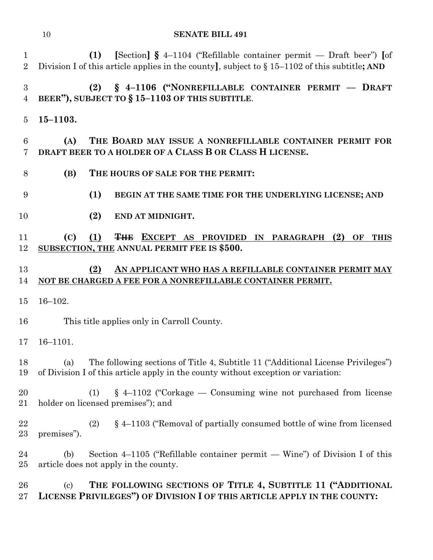|                                    | 10                        | <b>SENATE BILL 491</b>                                                                                                                                                            |
|------------------------------------|---------------------------|-----------------------------------------------------------------------------------------------------------------------------------------------------------------------------------|
| $\mathbf 1$<br>$\overline{2}$      |                           | (1)<br>[Section] $\S$ 4–1104 ("Refillable container permit — Draft beer") [of<br>Division I of this article applies in the county], subject to $\S 15-1102$ of this subtitle; AND |
| $\boldsymbol{3}$<br>$\overline{4}$ |                           | § 4-1106 ("NONREFILLABLE CONTAINER PERMIT - DRAFT<br>(2)<br>BEER"), SUBJECT TO § 15-1103 OF THIS SUBTITLE.                                                                        |
| $\overline{5}$                     | $15 - 1103.$              |                                                                                                                                                                                   |
| 6<br>7                             | (A)                       | THE BOARD MAY ISSUE A NONREFILLABLE CONTAINER PERMIT FOR<br>DRAFT BEER TO A HOLDER OF A CLASS B OR CLASS H LICENSE.                                                               |
| 8                                  | (B)                       | THE HOURS OF SALE FOR THE PERMIT:                                                                                                                                                 |
| 9                                  |                           | (1)<br>BEGIN AT THE SAME TIME FOR THE UNDERLYING LICENSE; AND                                                                                                                     |
| 10                                 |                           | (2)<br>END AT MIDNIGHT.                                                                                                                                                           |
| 11<br>12                           | (C)                       | (1)<br>THE EXCEPT AS PROVIDED IN PARAGRAPH (2) OF THIS<br>SUBSECTION, THE ANNUAL PERMIT FEE IS \$500.                                                                             |
| 13<br>14                           |                           | (2)<br>AN APPLICANT WHO HAS A REFILLABLE CONTAINER PERMIT MAY<br>NOT BE CHARGED A FEE FOR A NONREFILLABLE CONTAINER PERMIT.                                                       |
| 15                                 | $16 - 102.$               |                                                                                                                                                                                   |
| 16                                 |                           | This title applies only in Carroll County.                                                                                                                                        |
| 17                                 | $16 - 1101.$              |                                                                                                                                                                                   |
| 18<br>19                           | (a)                       | The following sections of Title 4, Subtitle 11 ("Additional License Privileges")<br>of Division I of this article apply in the county without exception or variation:             |
| 20<br>21                           |                           | $§$ 4-1102 ("Corkage — Consuming wine not purchased from license<br>(1)<br>holder on licensed premises"); and                                                                     |
| 22<br>23                           | premises").               | $\S$ 4–1103 ("Removal of partially consumed bottle of wine from licensed<br>(2)                                                                                                   |
| 24<br>$25\,$                       | (b)                       | Section 4–1105 ("Refillable container permit — Wine") of Division I of this<br>article does not apply in the county.                                                              |
| 26<br>$27\,$                       | $\left( \text{c} \right)$ | THE FOLLOWING SECTIONS OF TITLE 4, SUBTITLE 11 ("ADDITIONAL<br>LICENSE PRIVILEGES") OF DIVISION I OF THIS ARTICLE APPLY IN THE COUNTY:                                            |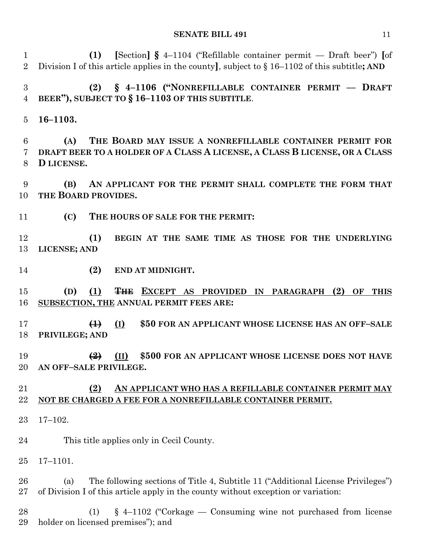**(1) [**Section**] §** 4–1104 ("Refillable container permit — Draft beer") **[**of Division I of this article applies in the county**]**, subject to § 16–1102 of this subtitle**; AND**

 **(2) § 4–1106 ("NONREFILLABLE CONTAINER PERMIT –– DRAFT BEER"), SUBJECT TO § 16–1103 OF THIS SUBTITLE**.

**16–1103.**

 **(A) THE BOARD MAY ISSUE A NONREFILLABLE CONTAINER PERMIT FOR DRAFT BEER TO A HOLDER OF A CLASS A LICENSE, A CLASS B LICENSE, OR A CLASS D LICENSE.**

 **(B) AN APPLICANT FOR THE PERMIT SHALL COMPLETE THE FORM THAT THE BOARD PROVIDES.**

**(C) THE HOURS OF SALE FOR THE PERMIT:**

 **(1) BEGIN AT THE SAME TIME AS THOSE FOR THE UNDERLYING LICENSE; AND**

**(2) END AT MIDNIGHT.**

 **(D) (1) THE EXCEPT AS PROVIDED IN PARAGRAPH (2) OF THIS SUBSECTION, THE ANNUAL PERMIT FEES ARE:**

 **(1) (I) \$50 FOR AN APPLICANT WHOSE LICENSE HAS AN OFF–SALE PRIVILEGE; AND**

 **(2) (II) \$500 FOR AN APPLICANT WHOSE LICENSE DOES NOT HAVE AN OFF–SALE PRIVILEGE.**

#### **(2) AN APPLICANT WHO HAS A REFILLABLE CONTAINER PERMIT MAY NOT BE CHARGED A FEE FOR A NONREFILLABLE CONTAINER PERMIT.**

17–102.

This title applies only in Cecil County.

17–1101.

 (a) The following sections of Title 4, Subtitle 11 ("Additional License Privileges") of Division I of this article apply in the county without exception or variation:

 (1) § 4–1102 ("Corkage — Consuming wine not purchased from license holder on licensed premises"); and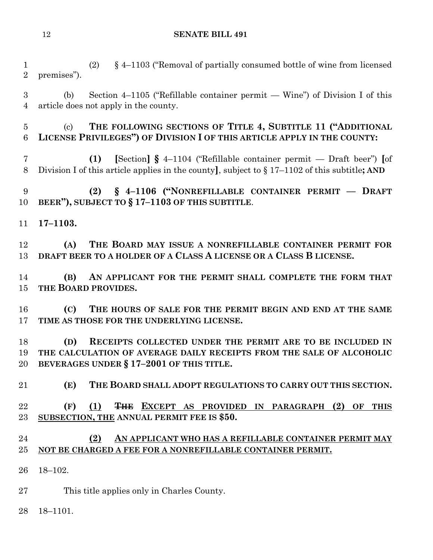(2) § 4–1103 ("Removal of partially consumed bottle of wine from licensed premises"). (b) Section 4–1105 ("Refillable container permit — Wine") of Division I of this article does not apply in the county. (c) **THE FOLLOWING SECTIONS OF TITLE 4, SUBTITLE 11 ("ADDITIONAL LICENSE PRIVILEGES") OF DIVISION I OF THIS ARTICLE APPLY IN THE COUNTY: (1) [**Section**] §** 4–1104 ("Refillable container permit — Draft beer") **[**of Division I of this article applies in the county**]**, subject to § 17–1102 of this subtitle**; AND (2) § 4–1106 ("NONREFILLABLE CONTAINER PERMIT –– DRAFT BEER"), SUBJECT TO § 17–1103 OF THIS SUBTITLE**. **17–1103. (A) THE BOARD MAY ISSUE A NONREFILLABLE CONTAINER PERMIT FOR DRAFT BEER TO A HOLDER OF A CLASS A LICENSE OR A CLASS B LICENSE. (B) AN APPLICANT FOR THE PERMIT SHALL COMPLETE THE FORM THAT THE BOARD PROVIDES. (C) THE HOURS OF SALE FOR THE PERMIT BEGIN AND END AT THE SAME TIME AS THOSE FOR THE UNDERLYING LICENSE. (D) RECEIPTS COLLECTED UNDER THE PERMIT ARE TO BE INCLUDED IN THE CALCULATION OF AVERAGE DAILY RECEIPTS FROM THE SALE OF ALCOHOLIC BEVERAGES UNDER § 17–2001 OF THIS TITLE. (E) THE BOARD SHALL ADOPT REGULATIONS TO CARRY OUT THIS SECTION. (F) (1) THE EXCEPT AS PROVIDED IN PARAGRAPH (2) OF THIS SUBSECTION, THE ANNUAL PERMIT FEE IS \$50. (2) AN APPLICANT WHO HAS A REFILLABLE CONTAINER PERMIT MAY NOT BE CHARGED A FEE FOR A NONREFILLABLE CONTAINER PERMIT.** 18–102. This title applies only in Charles County. 18–1101.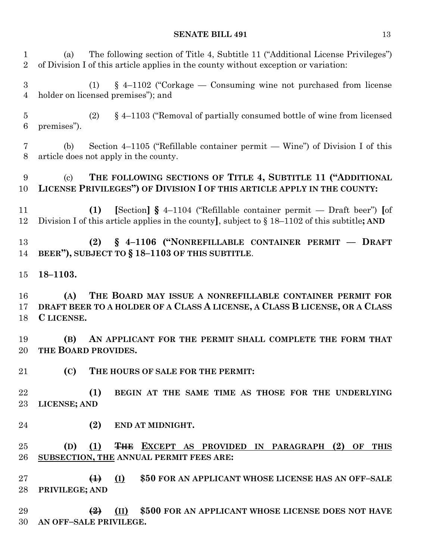(a) The following section of Title 4, Subtitle 11 ("Additional License Privileges") of Division I of this article applies in the county without exception or variation: (1) § 4–1102 ("Corkage — Consuming wine not purchased from license holder on licensed premises"); and (2) § 4–1103 ("Removal of partially consumed bottle of wine from licensed premises"). (b) Section 4–1105 ("Refillable container permit — Wine") of Division I of this article does not apply in the county. (c) **THE FOLLOWING SECTIONS OF TITLE 4, SUBTITLE 11 ("ADDITIONAL LICENSE PRIVILEGES") OF DIVISION I OF THIS ARTICLE APPLY IN THE COUNTY: (1) [**Section**] §** 4–1104 ("Refillable container permit — Draft beer") **[**of Division I of this article applies in the county**]**, subject to § 18–1102 of this subtitle**; AND (2) § 4–1106 ("NONREFILLABLE CONTAINER PERMIT –– DRAFT BEER"), SUBJECT TO § 18–1103 OF THIS SUBTITLE**. **18–1103. (A) THE BOARD MAY ISSUE A NONREFILLABLE CONTAINER PERMIT FOR DRAFT BEER TO A HOLDER OF A CLASS A LICENSE, A CLASS B LICENSE, OR A CLASS C LICENSE. (B) AN APPLICANT FOR THE PERMIT SHALL COMPLETE THE FORM THAT THE BOARD PROVIDES. (C) THE HOURS OF SALE FOR THE PERMIT: (1) BEGIN AT THE SAME TIME AS THOSE FOR THE UNDERLYING LICENSE; AND (2) END AT MIDNIGHT. (D) (1) THE EXCEPT AS PROVIDED IN PARAGRAPH (2) OF THIS SUBSECTION, THE ANNUAL PERMIT FEES ARE: (1) (I) \$50 FOR AN APPLICANT WHOSE LICENSE HAS AN OFF–SALE PRIVILEGE; AND (2) (II) \$500 FOR AN APPLICANT WHOSE LICENSE DOES NOT HAVE AN OFF–SALE PRIVILEGE.**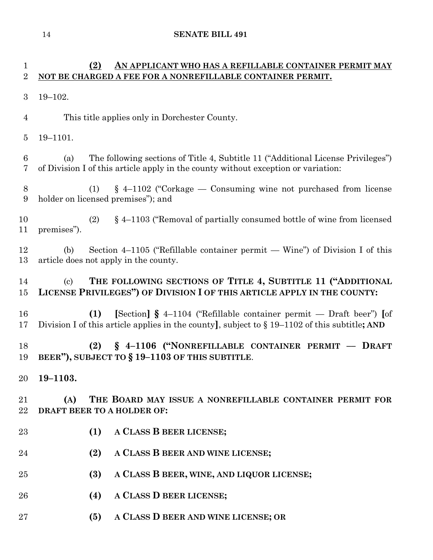# **(2) AN APPLICANT WHO HAS A REFILLABLE CONTAINER PERMIT MAY NOT BE CHARGED A FEE FOR A NONREFILLABLE CONTAINER PERMIT.**

- 19–102.
- This title applies only in Dorchester County.
- 19–1101.

 (a) The following sections of Title 4, Subtitle 11 ("Additional License Privileges") of Division I of this article apply in the county without exception or variation:

 (1) § 4–1102 ("Corkage — Consuming wine not purchased from license holder on licensed premises"); and

 (2) § 4–1103 ("Removal of partially consumed bottle of wine from licensed premises").

 (b) Section 4–1105 ("Refillable container permit — Wine") of Division I of this article does not apply in the county.

## (c) **THE FOLLOWING SECTIONS OF TITLE 4, SUBTITLE 11 ("ADDITIONAL LICENSE PRIVILEGES") OF DIVISION I OF THIS ARTICLE APPLY IN THE COUNTY:**

 **(1) [**Section**] §** 4–1104 ("Refillable container permit — Draft beer") **[**of Division I of this article applies in the county**]**, subject to § 19–1102 of this subtitle**; AND**

 **(2) § 4–1106 ("NONREFILLABLE CONTAINER PERMIT –– DRAFT BEER"), SUBJECT TO § 19–1103 OF THIS SUBTITLE**.

**19–1103.**

 **(A) THE BOARD MAY ISSUE A NONREFILLABLE CONTAINER PERMIT FOR DRAFT BEER TO A HOLDER OF:**

- **(1) A CLASS B BEER LICENSE;**
- **(2) A CLASS B BEER AND WINE LICENSE;**
- **(3) A CLASS B BEER, WINE, AND LIQUOR LICENSE;**
- **(4) A CLASS D BEER LICENSE;**
- **(5) A CLASS D BEER AND WINE LICENSE; OR**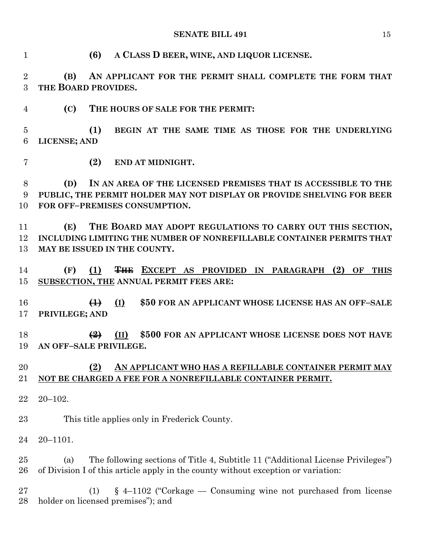**(6) A CLASS D BEER, WINE, AND LIQUOR LICENSE.**

 **(B) AN APPLICANT FOR THE PERMIT SHALL COMPLETE THE FORM THAT THE BOARD PROVIDES.**

**(C) THE HOURS OF SALE FOR THE PERMIT:**

 **(1) BEGIN AT THE SAME TIME AS THOSE FOR THE UNDERLYING LICENSE; AND**

**(2) END AT MIDNIGHT.**

 **(D) IN AN AREA OF THE LICENSED PREMISES THAT IS ACCESSIBLE TO THE PUBLIC, THE PERMIT HOLDER MAY NOT DISPLAY OR PROVIDE SHELVING FOR BEER FOR OFF–PREMISES CONSUMPTION.**

 **(E) THE BOARD MAY ADOPT REGULATIONS TO CARRY OUT THIS SECTION, INCLUDING LIMITING THE NUMBER OF NONREFILLABLE CONTAINER PERMITS THAT MAY BE ISSUED IN THE COUNTY.**

 **(F) (1) THE EXCEPT AS PROVIDED IN PARAGRAPH (2) OF THIS SUBSECTION, THE ANNUAL PERMIT FEES ARE:**

 **(1) (I) \$50 FOR AN APPLICANT WHOSE LICENSE HAS AN OFF–SALE PRIVILEGE; AND**

 **(2) (II) \$500 FOR AN APPLICANT WHOSE LICENSE DOES NOT HAVE AN OFF–SALE PRIVILEGE.**

#### **(2) AN APPLICANT WHO HAS A REFILLABLE CONTAINER PERMIT MAY NOT BE CHARGED A FEE FOR A NONREFILLABLE CONTAINER PERMIT.**

20–102.

This title applies only in Frederick County.

20–1101.

 (a) The following sections of Title 4, Subtitle 11 ("Additional License Privileges") of Division I of this article apply in the county without exception or variation:

 (1) § 4–1102 ("Corkage — Consuming wine not purchased from license holder on licensed premises"); and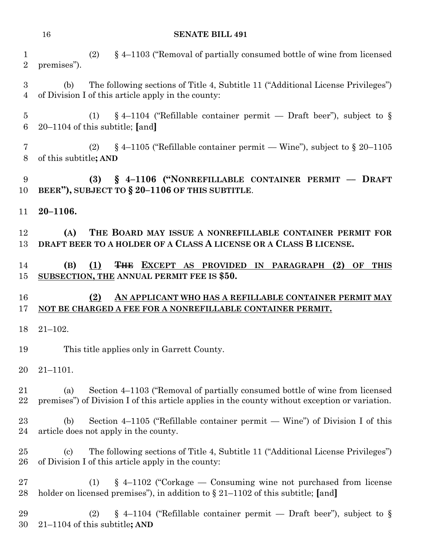|                                | 16<br><b>SENATE BILL 491</b>                                                                                                                                                         |
|--------------------------------|--------------------------------------------------------------------------------------------------------------------------------------------------------------------------------------|
| $\mathbf{1}$<br>$\overline{2}$ | $\S$ 4–1103 ("Removal of partially consumed bottle of wine from licensed<br>(2)<br>premises").                                                                                       |
| 3<br>$\overline{4}$            | The following sections of Title 4, Subtitle 11 ("Additional License Privileges")<br>(b)<br>of Division I of this article apply in the county:                                        |
| 5<br>6                         | $\S$ 4-1104 ("Refillable container permit — Draft beer"), subject to $\S$<br>(1)<br>$20-1104$ of this subtitle; [and]                                                                |
| 7<br>8                         | $\S$ 4–1105 ("Refillable container permit — Wine"), subject to $\S$ 20–1105<br>(2)<br>of this subtitle; AND                                                                          |
| 9<br>10                        | (3) § 4-1106 ("NONREFILLABLE CONTAINER PERMIT - DRAFT<br>BEER"), SUBJECT TO § 20-1106 OF THIS SUBTITLE.                                                                              |
| 11                             | $20 - 1106.$                                                                                                                                                                         |
| 12<br>13                       | (A)<br>THE BOARD MAY ISSUE A NONREFILLABLE CONTAINER PERMIT FOR<br>DRAFT BEER TO A HOLDER OF A CLASS A LICENSE OR A CLASS B LICENSE.                                                 |
| 14<br>15                       | THE EXCEPT AS PROVIDED IN PARAGRAPH (2) OF THIS<br>(B)<br>(1)<br>SUBSECTION, THE ANNUAL PERMIT FEE IS \$50.                                                                          |
| 16<br>17                       | (2)<br>AN APPLICANT WHO HAS A REFILLABLE CONTAINER PERMIT MAY<br>NOT BE CHARGED A FEE FOR A NONREFILLABLE CONTAINER PERMIT.                                                          |
| 18                             | $21 - 102.$                                                                                                                                                                          |
| 19                             | This title applies only in Garrett County.                                                                                                                                           |
| 20                             | $21 - 1101.$                                                                                                                                                                         |
| 21<br>22                       | Section 4–1103 ("Removal of partially consumed bottle of wine from licensed<br>(a)<br>premises") of Division I of this article applies in the county without exception or variation. |
| 23<br>24                       | Section $4-1105$ ("Refillable container permit — Wine") of Division I of this<br>(b)<br>article does not apply in the county.                                                        |
| 25<br>26                       | The following sections of Title 4, Subtitle 11 ("Additional License Privileges")<br>$\left( \mathrm{c}\right)$<br>of Division I of this article apply in the county:                 |
| 27<br>28                       | $\S$ 4–1102 ("Corkage — Consuming wine not purchased from license<br>(1)<br>holder on licensed premises"), in addition to $\S 21-1102$ of this subtitle; [and]                       |
|                                |                                                                                                                                                                                      |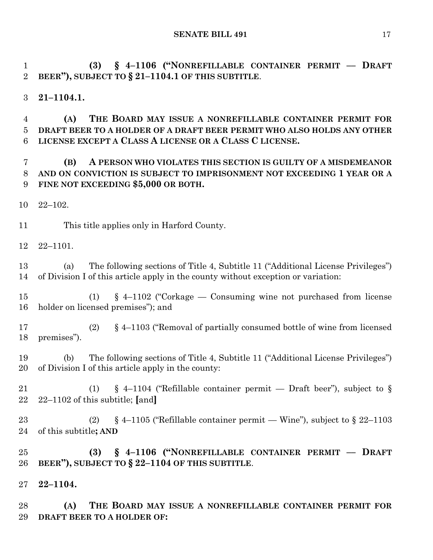**(3) § 4–1106 ("NONREFILLABLE CONTAINER PERMIT –– DRAFT BEER"), SUBJECT TO § 21–1104.1 OF THIS SUBTITLE**.

**21–1104.1.**

 **(A) THE BOARD MAY ISSUE A NONREFILLABLE CONTAINER PERMIT FOR DRAFT BEER TO A HOLDER OF A DRAFT BEER PERMIT WHO ALSO HOLDS ANY OTHER LICENSE EXCEPT A CLASS A LICENSE OR A CLASS C LICENSE.**

# **(B) A PERSON WHO VIOLATES THIS SECTION IS GUILTY OF A MISDEMEANOR AND ON CONVICTION IS SUBJECT TO IMPRISONMENT NOT EXCEEDING 1 YEAR OR A FINE NOT EXCEEDING \$5,000 OR BOTH.**

22–102.

This title applies only in Harford County.

22–1101.

 (a) The following sections of Title 4, Subtitle 11 ("Additional License Privileges") of Division I of this article apply in the county without exception or variation:

 (1) § 4–1102 ("Corkage — Consuming wine not purchased from license holder on licensed premises"); and

 (2) § 4–1103 ("Removal of partially consumed bottle of wine from licensed premises").

 (b) The following sections of Title 4, Subtitle 11 ("Additional License Privileges") of Division I of this article apply in the county:

21 (1) § 4–1104 ("Refillable container permit — Draft beer"), subject to § 22–1102 of this subtitle; **[**and**]**

23 (2) § 4–1105 ("Refillable container permit — Wine"), subject to § 22–1103 of this subtitle**; AND**

 **(3) § 4–1106 ("NONREFILLABLE CONTAINER PERMIT –– DRAFT BEER"), SUBJECT TO § 22–1104 OF THIS SUBTITLE**.

**22–1104.**

 **(A) THE BOARD MAY ISSUE A NONREFILLABLE CONTAINER PERMIT FOR DRAFT BEER TO A HOLDER OF:**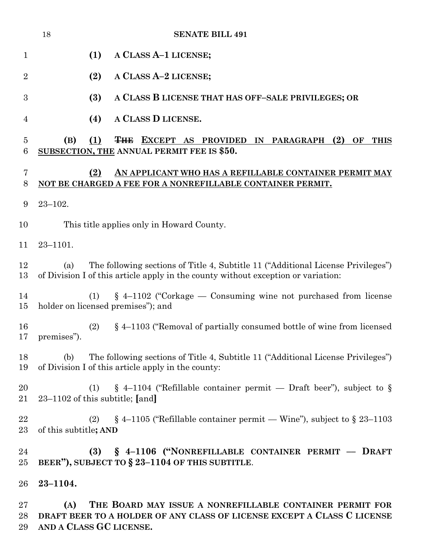|                    | 18<br><b>SENATE BILL 491</b>                                                                                                                                                 |
|--------------------|------------------------------------------------------------------------------------------------------------------------------------------------------------------------------|
| $\mathbf{1}$       | (1)<br>A CLASS A-1 LICENSE;                                                                                                                                                  |
| $\overline{2}$     | A CLASS A-2 LICENSE;<br>(2)                                                                                                                                                  |
| $\boldsymbol{3}$   | (3)<br>A CLASS B LICENSE THAT HAS OFF-SALE PRIVILEGES; OR                                                                                                                    |
| 4                  | A CLASS D LICENSE.<br>(4)                                                                                                                                                    |
| 5<br>6             | (B)<br>(1)<br><b>THE EXCEPT AS PROVIDED IN PARAGRAPH</b><br>(2)<br>OF<br><b>THIS</b><br>SUBSECTION, THE ANNUAL PERMIT FEE IS \$50.                                           |
| 7<br>8             | AN APPLICANT WHO HAS A REFILLABLE CONTAINER PERMIT MAY<br>(2)<br>NOT BE CHARGED A FEE FOR A NONREFILLABLE CONTAINER PERMIT.                                                  |
| 9                  | $23 - 102.$                                                                                                                                                                  |
| 10                 | This title applies only in Howard County.                                                                                                                                    |
| 11                 | $23 - 1101.$                                                                                                                                                                 |
| 12<br>13           | The following sections of Title 4, Subtitle 11 ("Additional License Privileges")<br>(a)<br>of Division I of this article apply in the county without exception or variation: |
| 14<br>15           | $\S$ 4–1102 ("Corkage — Consuming wine not purchased from license<br>(1)<br>holder on licensed premises"); and                                                               |
| 16<br>17           | (2)<br>§ 4-1103 ("Removal of partially consumed bottle of wine from licensed<br>premises").                                                                                  |
| 18<br>19           | The following sections of Title 4, Subtitle 11 ("Additional License Privileges")<br>(b)<br>of Division I of this article apply in the county:                                |
| 20<br>21           | $\S$ 4-1104 ("Refillable container permit — Draft beer"), subject to $\S$<br>(1)<br>23–1102 of this subtitle; [and]                                                          |
| 22<br>23           | $\S$ 4–1105 ("Refillable container permit — Wine"), subject to $\S$ 23–1103<br>(2)<br>of this subtitle; AND                                                                  |
| 24<br>25           | § 4-1106 ("NONREFILLABLE CONTAINER PERMIT - DRAFT<br>(3)<br>BEER"), SUBJECT TO § 23-1104 OF THIS SUBTITLE.                                                                   |
| 26                 | $23 - 1104.$                                                                                                                                                                 |
| $27\,$<br>28<br>29 | THE BOARD MAY ISSUE A NONREFILLABLE CONTAINER PERMIT FOR<br>(A)<br>DRAFT BEER TO A HOLDER OF ANY CLASS OF LICENSE EXCEPT A CLASS C LICENSE<br>AND A CLASS GC LICENSE.        |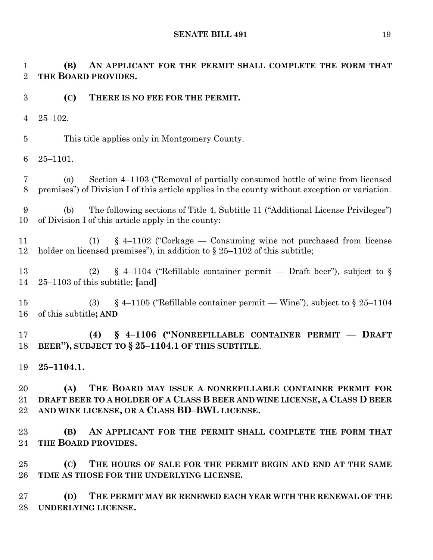**(B) AN APPLICANT FOR THE PERMIT SHALL COMPLETE THE FORM THAT THE BOARD PROVIDES.**

- **(C) THERE IS NO FEE FOR THE PERMIT.**
- 25–102.

This title applies only in Montgomery County.

25–1101.

 (a) Section 4–1103 ("Removal of partially consumed bottle of wine from licensed premises") of Division I of this article applies in the county without exception or variation.

 (b) The following sections of Title 4, Subtitle 11 ("Additional License Privileges") of Division I of this article apply in the county:

 (1) § 4–1102 ("Corkage — Consuming wine not purchased from license 12 holder on licensed premises"), in addition to § 25–1102 of this subtitle;

 (2) § 4–1104 ("Refillable container permit — Draft beer"), subject to § 25–1103 of this subtitle; **[**and**]**

15 (3) § 4–1105 ("Refillable container permit — Wine"), subject to § 25–1104 of this subtitle**; AND**

 **(4) § 4–1106 ("NONREFILLABLE CONTAINER PERMIT –– DRAFT BEER"), SUBJECT TO § 25–1104.1 OF THIS SUBTITLE**.

**25–1104.1.**

 **(A) THE BOARD MAY ISSUE A NONREFILLABLE CONTAINER PERMIT FOR DRAFT BEER TO A HOLDER OF A CLASS B BEER AND WINE LICENSE, A CLASS D BEER AND WINE LICENSE, OR A CLASS BD–BWL LICENSE.**

 **(B) AN APPLICANT FOR THE PERMIT SHALL COMPLETE THE FORM THAT THE BOARD PROVIDES.**

 **(C) THE HOURS OF SALE FOR THE PERMIT BEGIN AND END AT THE SAME TIME AS THOSE FOR THE UNDERLYING LICENSE.**

 **(D) THE PERMIT MAY BE RENEWED EACH YEAR WITH THE RENEWAL OF THE UNDERLYING LICENSE.**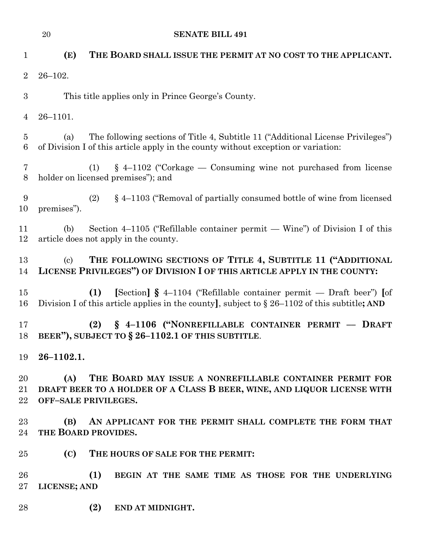| $\mathbf{1}$        | (E)<br>THE BOARD SHALL ISSUE THE PERMIT AT NO COST TO THE APPLICANT.                                                                                                              |
|---------------------|-----------------------------------------------------------------------------------------------------------------------------------------------------------------------------------|
| $\overline{2}$      | $26 - 102.$                                                                                                                                                                       |
| $\boldsymbol{3}$    | This title applies only in Prince George's County.                                                                                                                                |
| $\overline{4}$      | $26 - 1101.$                                                                                                                                                                      |
| $\overline{5}$<br>6 | The following sections of Title 4, Subtitle 11 ("Additional License Privileges")<br>(a)<br>of Division I of this article apply in the county without exception or variation:      |
| 7<br>$8\phantom{1}$ | $\S$ 4–1102 ("Corkage — Consuming wine not purchased from license<br>(1)<br>holder on licensed premises"); and                                                                    |
| 9<br>10             | § 4–1103 ("Removal of partially consumed bottle of wine from licensed<br>(2)<br>premises").                                                                                       |
| 11<br>12            | Section $4-1105$ ("Refillable container permit — Wine") of Division I of this<br>(b)<br>article does not apply in the county.                                                     |
| 13<br>14            | THE FOLLOWING SECTIONS OF TITLE 4, SUBTITLE 11 ("ADDITIONAL<br>$\left( \mathrm{c}\right)$<br>LICENSE PRIVILEGES") OF DIVISION I OF THIS ARTICLE APPLY IN THE COUNTY:              |
| 15<br>16            | [Section] $\S$ 4–1104 ("Refillable container permit — Draft beer") [of<br>(1)<br>Division I of this article applies in the county], subject to $\S 26-1102$ of this subtitle; AND |
| 17<br>18            | § 4-1106 ("NONREFILLABLE CONTAINER PERMIT - DRAFT<br>(2)<br>BEER"), SUBJECT TO § 26-1102.1 OF THIS SUBTITLE.                                                                      |
| 19                  | $26 - 1102.1.$                                                                                                                                                                    |
| $20\,$<br>21<br>22  | THE BOARD MAY ISSUE A NONREFILLABLE CONTAINER PERMIT FOR<br>(A)<br>DRAFT BEER TO A HOLDER OF A CLASS B BEER, WINE, AND LIQUOR LICENSE WITH<br><b>OFF-SALE PRIVILEGES.</b>         |
| $23\,$<br>24        | AN APPLICANT FOR THE PERMIT SHALL COMPLETE THE FORM THAT<br>(B)<br>THE BOARD PROVIDES.                                                                                            |
| $25\,$              | (C)<br>THE HOURS OF SALE FOR THE PERMIT:                                                                                                                                          |
| 26<br>$27\,$        | (1)<br>BEGIN AT THE SAME TIME AS THOSE FOR THE UNDERLYING<br>LICENSE; AND                                                                                                         |
| 28                  | (2)<br>END AT MIDNIGHT.                                                                                                                                                           |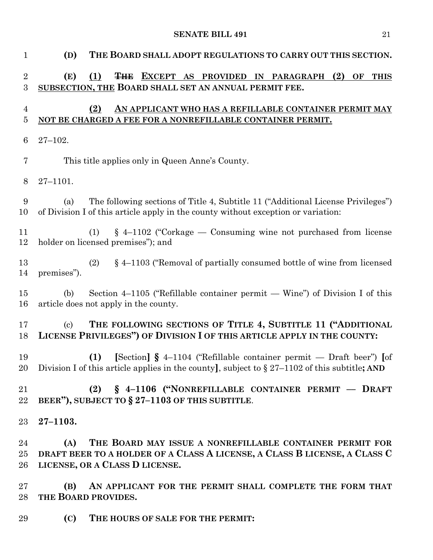| $\mathbf{1}$        | (D)<br>THE BOARD SHALL ADOPT REGULATIONS TO CARRY OUT THIS SECTION.                                                                                                               |
|---------------------|-----------------------------------------------------------------------------------------------------------------------------------------------------------------------------------|
| $\overline{2}$<br>3 | (E)<br>(1)<br><del>THE</del> EXCEPT AS PROVIDED IN PARAGRAPH (2) OF THIS<br>SUBSECTION, THE BOARD SHALL SET AN ANNUAL PERMIT FEE.                                                 |
| 4<br>5              | (2)<br>AN APPLICANT WHO HAS A REFILLABLE CONTAINER PERMIT MAY<br>NOT BE CHARGED A FEE FOR A NONREFILLABLE CONTAINER PERMIT.                                                       |
| 6                   | $27 - 102.$                                                                                                                                                                       |
| 7                   | This title applies only in Queen Anne's County.                                                                                                                                   |
| 8                   | $27 - 1101.$                                                                                                                                                                      |
| 9<br>10             | The following sections of Title 4, Subtitle 11 ("Additional License Privileges")<br>(a)<br>of Division I of this article apply in the county without exception or variation:      |
| 11<br>12            | $\S$ 4-1102 ("Corkage — Consuming wine not purchased from license<br>(1)<br>holder on licensed premises"); and                                                                    |
| 13<br>14            | § 4-1103 ("Removal of partially consumed bottle of wine from licensed<br>(2)<br>premises").                                                                                       |
| 15<br>16            | Section 4–1105 ("Refillable container permit — Wine") of Division I of this<br>(b)<br>article does not apply in the county.                                                       |
| 17<br>18            | THE FOLLOWING SECTIONS OF TITLE 4, SUBTITLE 11 ("ADDITIONAL<br>$\left( \mathrm{c}\right)$<br>LICENSE PRIVILEGES") OF DIVISION I OF THIS ARTICLE APPLY IN THE COUNTY:              |
| 19<br>20            | [Section] $\S$ 4–1104 ("Refillable container permit — Draft beer") [of<br>(1)<br>Division I of this article applies in the county], subject to $\S 27-1102$ of this subtitle; AND |
| 21<br>$22\,$        | (2) § 4-1106 ("NONREFILLABLE CONTAINER PERMIT - DRAFT<br>BEER"), SUBJECT TO $\S 27-1103$ OF THIS SUBTITLE.                                                                        |
| 23                  | $27 - 1103.$                                                                                                                                                                      |
| 24<br>25<br>26      | THE BOARD MAY ISSUE A NONREFILLABLE CONTAINER PERMIT FOR<br>(A)<br>DRAFT BEER TO A HOLDER OF A CLASS A LICENSE, A CLASS B LICENSE, A CLASS C<br>LICENSE, OR A CLASS D LICENSE.    |
| $27\,$<br>28        | AN APPLICANT FOR THE PERMIT SHALL COMPLETE THE FORM THAT<br>(B)<br>THE BOARD PROVIDES.                                                                                            |
| 29                  | (C)<br>THE HOURS OF SALE FOR THE PERMIT:                                                                                                                                          |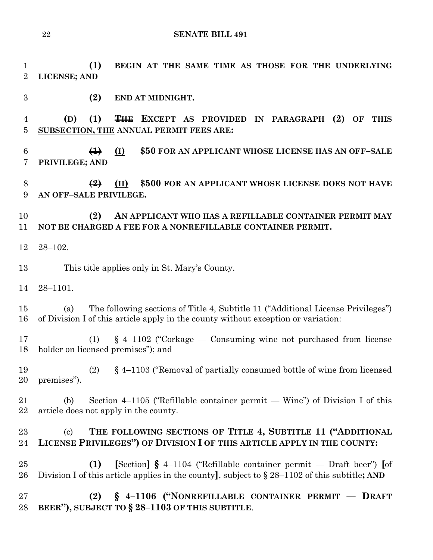**(1) BEGIN AT THE SAME TIME AS THOSE FOR THE UNDERLYING LICENSE; AND (2) END AT MIDNIGHT. (D) (1) THE EXCEPT AS PROVIDED IN PARAGRAPH (2) OF THIS SUBSECTION, THE ANNUAL PERMIT FEES ARE: (1) (I) \$50 FOR AN APPLICANT WHOSE LICENSE HAS AN OFF–SALE PRIVILEGE; AND (2) (II) \$500 FOR AN APPLICANT WHOSE LICENSE DOES NOT HAVE AN OFF–SALE PRIVILEGE.**

# **(2) AN APPLICANT WHO HAS A REFILLABLE CONTAINER PERMIT MAY NOT BE CHARGED A FEE FOR A NONREFILLABLE CONTAINER PERMIT.**

28–102.

This title applies only in St. Mary's County.

28–1101.

 (a) The following sections of Title 4, Subtitle 11 ("Additional License Privileges") of Division I of this article apply in the county without exception or variation:

 (1) § 4–1102 ("Corkage — Consuming wine not purchased from license holder on licensed premises"); and

 (2) § 4–1103 ("Removal of partially consumed bottle of wine from licensed premises").

 (b) Section 4–1105 ("Refillable container permit — Wine") of Division I of this article does not apply in the county.

# (c) **THE FOLLOWING SECTIONS OF TITLE 4, SUBTITLE 11 ("ADDITIONAL LICENSE PRIVILEGES") OF DIVISION I OF THIS ARTICLE APPLY IN THE COUNTY:**

 **(1) [**Section**] §** 4–1104 ("Refillable container permit — Draft beer") **[**of Division I of this article applies in the county**]**, subject to § 28–1102 of this subtitle**; AND**

 **(2) § 4–1106 ("NONREFILLABLE CONTAINER PERMIT –– DRAFT BEER"), SUBJECT TO § 28–1103 OF THIS SUBTITLE**.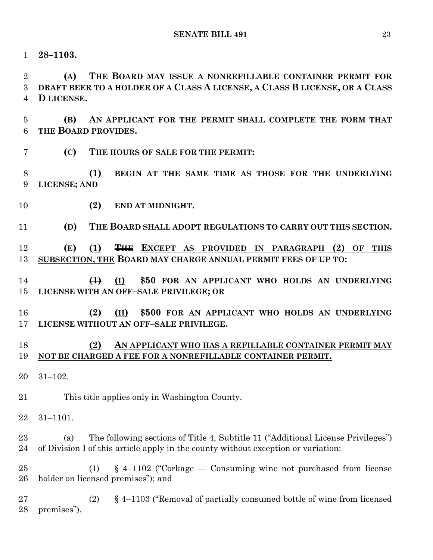**28–1103.**

 **(A) THE BOARD MAY ISSUE A NONREFILLABLE CONTAINER PERMIT FOR DRAFT BEER TO A HOLDER OF A CLASS A LICENSE, A CLASS B LICENSE, OR A CLASS D LICENSE.**

 **(B) AN APPLICANT FOR THE PERMIT SHALL COMPLETE THE FORM THAT THE BOARD PROVIDES.**

**(C) THE HOURS OF SALE FOR THE PERMIT:**

 **(1) BEGIN AT THE SAME TIME AS THOSE FOR THE UNDERLYING LICENSE; AND**

**(2) END AT MIDNIGHT.**

**(D) THE BOARD SHALL ADOPT REGULATIONS TO CARRY OUT THIS SECTION.**

 **(E) (1) THE EXCEPT AS PROVIDED IN PARAGRAPH (2) OF THIS SUBSECTION, THE BOARD MAY CHARGE ANNUAL PERMIT FEES OF UP TO:**

- **(1) (I) \$50 FOR AN APPLICANT WHO HOLDS AN UNDERLYING LICENSE WITH AN OFF–SALE PRIVILEGE; OR**
- **(2) (II) \$500 FOR AN APPLICANT WHO HOLDS AN UNDERLYING LICENSE WITHOUT AN OFF–SALE PRIVILEGE.**

#### **(2) AN APPLICANT WHO HAS A REFILLABLE CONTAINER PERMIT MAY NOT BE CHARGED A FEE FOR A NONREFILLABLE CONTAINER PERMIT.**

31–102.

This title applies only in Washington County.

31–1101.

 (a) The following sections of Title 4, Subtitle 11 ("Additional License Privileges") of Division I of this article apply in the county without exception or variation:

 (1) § 4–1102 ("Corkage — Consuming wine not purchased from license holder on licensed premises"); and

 (2) § 4–1103 ("Removal of partially consumed bottle of wine from licensed premises").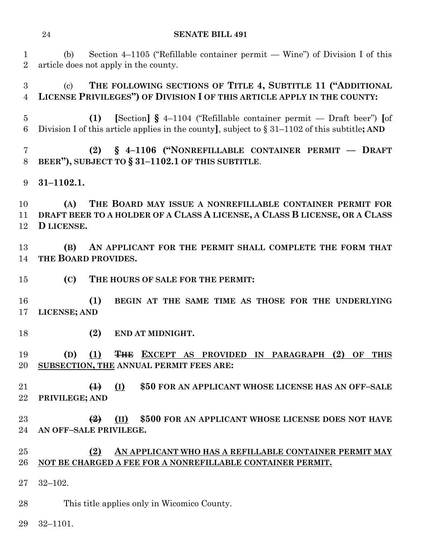(b) Section 4–1105 ("Refillable container permit — Wine") of Division I of this article does not apply in the county.

 (c) **THE FOLLOWING SECTIONS OF TITLE 4, SUBTITLE 11 ("ADDITIONAL LICENSE PRIVILEGES") OF DIVISION I OF THIS ARTICLE APPLY IN THE COUNTY:**

 **(1) [**Section**] §** 4–1104 ("Refillable container permit — Draft beer") **[**of Division I of this article applies in the county**]**, subject to § 31–1102 of this subtitle**; AND**

 **(2) § 4–1106 ("NONREFILLABLE CONTAINER PERMIT –– DRAFT BEER"), SUBJECT TO § 31–1102.1 OF THIS SUBTITLE**.

**31–1102.1.**

 **(A) THE BOARD MAY ISSUE A NONREFILLABLE CONTAINER PERMIT FOR DRAFT BEER TO A HOLDER OF A CLASS A LICENSE, A CLASS B LICENSE, OR A CLASS D LICENSE.**

 **(B) AN APPLICANT FOR THE PERMIT SHALL COMPLETE THE FORM THAT THE BOARD PROVIDES.**

**(C) THE HOURS OF SALE FOR THE PERMIT:**

 **(1) BEGIN AT THE SAME TIME AS THOSE FOR THE UNDERLYING LICENSE; AND**

**(2) END AT MIDNIGHT.**

 **(D) (1) THE EXCEPT AS PROVIDED IN PARAGRAPH (2) OF THIS SUBSECTION, THE ANNUAL PERMIT FEES ARE:**

 **(1) (I) \$50 FOR AN APPLICANT WHOSE LICENSE HAS AN OFF–SALE PRIVILEGE; AND**

 **(2) (II) \$500 FOR AN APPLICANT WHOSE LICENSE DOES NOT HAVE AN OFF–SALE PRIVILEGE.**

#### **(2) AN APPLICANT WHO HAS A REFILLABLE CONTAINER PERMIT MAY NOT BE CHARGED A FEE FOR A NONREFILLABLE CONTAINER PERMIT.**

32–102.

This title applies only in Wicomico County.

32–1101.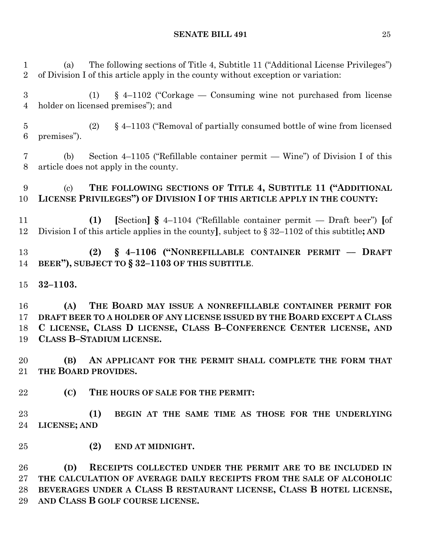(a) The following sections of Title 4, Subtitle 11 ("Additional License Privileges") of Division I of this article apply in the county without exception or variation:

 (1) § 4–1102 ("Corkage — Consuming wine not purchased from license holder on licensed premises"); and

 (2) § 4–1103 ("Removal of partially consumed bottle of wine from licensed premises").

 (b) Section 4–1105 ("Refillable container permit — Wine") of Division I of this article does not apply in the county.

## (c) **THE FOLLOWING SECTIONS OF TITLE 4, SUBTITLE 11 ("ADDITIONAL LICENSE PRIVILEGES") OF DIVISION I OF THIS ARTICLE APPLY IN THE COUNTY:**

 **(1) [**Section**] §** 4–1104 ("Refillable container permit — Draft beer") **[**of Division I of this article applies in the county**]**, subject to § 32–1102 of this subtitle**; AND**

# **(2) § 4–1106 ("NONREFILLABLE CONTAINER PERMIT –– DRAFT BEER"), SUBJECT TO § 32–1103 OF THIS SUBTITLE**.

**32–1103.**

 **(A) THE BOARD MAY ISSUE A NONREFILLABLE CONTAINER PERMIT FOR DRAFT BEER TO A HOLDER OF ANY LICENSE ISSUED BY THE BOARD EXCEPT A CLASS C LICENSE, CLASS D LICENSE, CLASS B–CONFERENCE CENTER LICENSE, AND CLASS B–STADIUM LICENSE.**

 **(B) AN APPLICANT FOR THE PERMIT SHALL COMPLETE THE FORM THAT THE BOARD PROVIDES.**

**(C) THE HOURS OF SALE FOR THE PERMIT:**

 **(1) BEGIN AT THE SAME TIME AS THOSE FOR THE UNDERLYING LICENSE; AND**

**(2) END AT MIDNIGHT.**

 **(D) RECEIPTS COLLECTED UNDER THE PERMIT ARE TO BE INCLUDED IN THE CALCULATION OF AVERAGE DAILY RECEIPTS FROM THE SALE OF ALCOHOLIC BEVERAGES UNDER A CLASS B RESTAURANT LICENSE, CLASS B HOTEL LICENSE, AND CLASS B GOLF COURSE LICENSE.**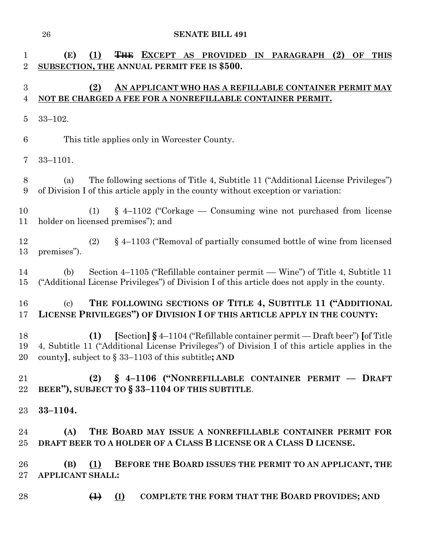| 1<br>$\overline{2}$ | THE EXCEPT AS PROVIDED IN PARAGRAPH<br>(2)<br>(E)<br>(1)<br>OF<br><b>THIS</b><br>SUBSECTION, THE ANNUAL PERMIT FEE IS \$500.                                                                                                                                                         |
|---------------------|--------------------------------------------------------------------------------------------------------------------------------------------------------------------------------------------------------------------------------------------------------------------------------------|
| 3<br>4              | (2)<br>AN APPLICANT WHO HAS A REFILLABLE CONTAINER PERMIT MAY<br>NOT BE CHARGED A FEE FOR A NONREFILLABLE CONTAINER PERMIT.                                                                                                                                                          |
| $\overline{5}$      | $33 - 102.$                                                                                                                                                                                                                                                                          |
| 6                   | This title applies only in Worcester County.                                                                                                                                                                                                                                         |
| 7                   | $33 - 1101.$                                                                                                                                                                                                                                                                         |
| 8<br>9              | The following sections of Title 4, Subtitle 11 ("Additional License Privileges")<br>(a)<br>of Division I of this article apply in the county without exception or variation:                                                                                                         |
| 10<br>11            | $\S$ 4–1102 ("Corkage — Consuming wine not purchased from license<br>(1)<br>holder on licensed premises"); and                                                                                                                                                                       |
| 12<br>13            | $\S$ 4–1103 ("Removal of partially consumed bottle of wine from licensed<br>(2)<br>premises").                                                                                                                                                                                       |
| 14<br>$15\,$        | Section 4–1105 ("Refillable container permit — Wine") of Title 4, Subtitle 11<br>(b)<br>("Additional License Privileges") of Division I of this article does not apply in the county.                                                                                                |
| 16<br>17            | THE FOLLOWING SECTIONS OF TITLE 4, SUBTITLE 11 ("ADDITIONAL<br>$\left( \mathrm{c}\right)$<br>LICENSE PRIVILEGES") OF DIVISION I OF THIS ARTICLE APPLY IN THE COUNTY:                                                                                                                 |
| 18<br>19<br>20      | $\left[\text{Section}\right]$ § 4-1104 ("Refillable container permit — Draft beer") $\left[\text{of Title}\right]$<br>(1)<br>4, Subtitle 11 ("Additional License Privileges") of Division I of this article applies in the<br>county], subject to $\S 33-1103$ of this subtitle; AND |
| 21<br>$22\,$        | (2) § 4-1106 ("NONREFILLABLE CONTAINER PERMIT - DRAFT<br>BEER"), SUBJECT TO § 33-1104 OF THIS SUBTITLE.                                                                                                                                                                              |
| 23                  | $33 - 1104.$                                                                                                                                                                                                                                                                         |
| 24<br>$25\,$        | THE BOARD MAY ISSUE A NONREFILLABLE CONTAINER PERMIT FOR<br>(A)<br>DRAFT BEER TO A HOLDER OF A CLASS B LICENSE OR A CLASS D LICENSE.                                                                                                                                                 |
| 26<br>$27\,$        | BEFORE THE BOARD ISSUES THE PERMIT TO AN APPLICANT, THE<br>$(B)$ $(1)$<br><b>APPLICANT SHALL:</b>                                                                                                                                                                                    |
| 28                  | <b>COMPLETE THE FORM THAT THE BOARD PROVIDES; AND</b><br>$\bigoplus$ $\bigoplus$                                                                                                                                                                                                     |